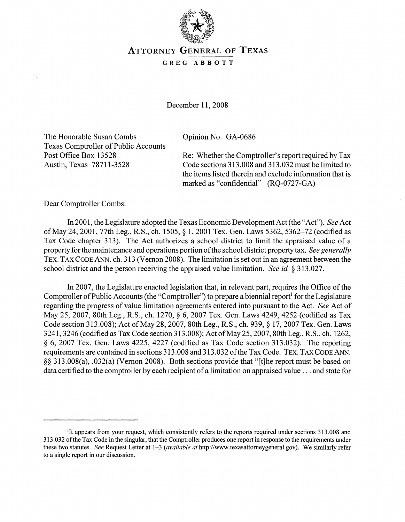

# ATTORNEY GENERAL OF TEXAS

#### GREG ABBOTT

December 11, 2008

The Honorable Susan Combs Texas Comptroller of Public Accounts Post Office Box 13528 Austin, Texas 78711-3528

Opinion No. GA-0686

Re: Whether the Comptroller's report required by Tax Code sections 313.008 and 313.032 must be limited to the items listed therein and exclude information that is marked as "confidential" (RQ-0727-GA)

Dear Comptroller Combs:

In 2001, the Legislature adopted the Texas Economic Development Act (the "Act"). *See* Act ofMay 24, 2001, 77th Leg., R.S., ch. 1505, § 1, 2001 Tex. Gen. Laws 5362, 5362-72 (codified as Tax Code chapter 313). The Act authorizes a school district to limit the appraised value of a property for the maintenance and operations portion ofthe school district property tax. *See generally* TEX. TAX CODE ANN. ch. 313 (Vernon 2008). The limitation is set out in an agreement between the school district and the person receiving the appraised value limitation. *See id.* § 313.027.

In 2007, the Legislature enacted legislation that, in relevant part, requires the Office of the Comptroller of Public Accounts (the "Comptroller") to prepare a biennial report<sup>1</sup> for the Legislature regarding the progress of value limitation agreements entered into pursuant to the Act. *See* Act of May 25,2007, 80th Leg., R.S., ch. 1270, § 6, 2007 Tex. Gen. Laws 4249, 4252 (codified as Tax Code section 313.008); Act of May 28, 2007, 80th Leg., R.S., ch. 939, § 17, 2007 Tex. Gen. Laws 3241,3246 (codified as Tax Code section 313.008); Act ofMay 25,2007, 80th Leg., R.S., ch. 1262, § 6, 2007 Tex. Gen. Laws 4225, 4227 (codified as Tax Code section 313.032). The reporting requirements are contained in sections 313.008 and 313.032 ofthe Tax Code. TEX. TAX CODE ANN. §§ 313.008(a), .032(a) (Vernon 2008). Both sections provide that "[t]he report must be based on data certified to the comptroller by each recipient of a limitation on appraised value ... and state for

<sup>&</sup>lt;sup>1</sup>It appears from your request, which consistently refers to the reports required under sections 313.008 and 313.032 ofthe Tax Code in the singular, that the Comptroller produces one report in response to the requirements under these two statutes. *See* Request Letter at 1-3 *(available at* http://www.texasattomeygeneral.gov). We similarly refer to a single report in our discussion.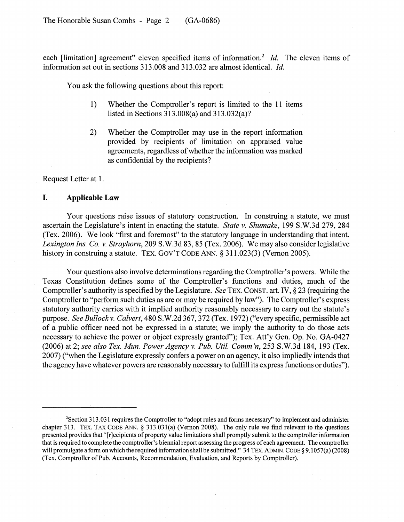each [limitation] agreement" eleven specified items of information.<sup>2</sup> *Id.* The eleven items of information set out in sections 313.008 and 313.032 are almost identical. *Id.*

You ask the following questions about this report:

- 1) Whether the Comptroller's report is limited to the 11 items listed in Sections 313.008(a) and 313.032(a)?
- 2) Whether the Comptroller may use in the report information provided by· recipients of limitation on appraised value agreements, regardless of whether the information was marked as confidential by the recipients?

Request Letter at 1.

### **I. Applicable Law**

Your questions raise issues of statutory construction. In construing a statute, we must ascertain the Legislature's intent in enacting the statute. *State v. Shumake,* 199 S.W.3d 279, 284 (Tex. 2006). We look "first and foremost" to the statutory language in understanding that intent. *Lexington Ins. Co. v. Strayhorn,* 209 S.W.3d 83, 85 (Tex. 2006). We may also consider legislative history in construing a statute. TEX. GOV'T CODE ANN. § 311.023(3) (Vernon 2005).

Your questions also involve determinations regarding the Comptroller's powers. While the Texas Constitution defines some of the Comptroller's functions and duties, much of the Comptroller's authority is specified by the Legislature. *See* TEX. CONST. art. IV, § 23 (requiring the Comptroller to "perform such duties as are or may be required by law"). The Comptroller's express statutory authority carries with it implied authority reasonably necessary to carry out the statute's purpose. *See Bullockv. Calvert,* 480 S.W.2d 367,372 (Tex. 1972) ("every specific, permissible act of a public officer need not be expressed in a statute; we imply the authority to do those acts necessary to achieve the power or object expressly granted"); Tex. Att'y Gen. Op. No. GA-0427 (2006) at 2; *see also Tex. Mun. Power Agency v. Pub. Utile Comm 'n,* 253 S.W.3d 184, 193 (Tex. 2007) ("when the Legislature expressly confers a power on an agency, it also impliedly intends that the agency have whatever powers are reasonably necessary to fulfill its express functions or duties").

<sup>2</sup>Section 313.031 requires the Comptroller to "adopt rules and forms necessary" to implement and administer chapter 313. TEX. TAX CODE ANN. § 313.031(a) (Vernon 2008). The only rule we find relevant to the questions presented provides that "[recipients of property value limitations shall promptly submit to the comptroller information that is required to complete the comptroller's biennial report assessing the progress ofeach agreement. The comptroller will promulgate a form on which the required information shall be submitted." 34 TEX. ADMIN. CODE § 9.1057(a) (2008) (Tex. Comptroller ofPub. Accounts, Recommendation, Evaluation, and Reports by Comptroller).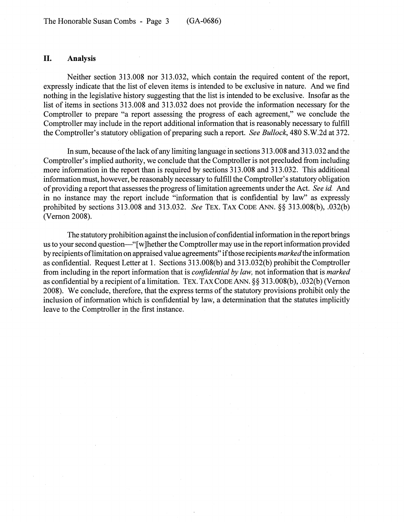## **II.** Analysis

Neither section 313.008 nor 313.032, which contain the required content of the report, expressly indicate that the list of eleven items is intended to be exclusive in nature. And we find nothing in the legislative history suggesting that the list is intended to be exclusive. Insofar as the list of items in sections 313.008 and 313.032 does not provide the information necessary for the Comptroller to prepare "a report assessing the progress of each agreement," we conclude the Comptroller may include in the report additional information that is reasonably necessary to fulfill the Comptroller's statutory obligation of preparing such a report. *See Bullock*, 480 S.W.2d at 372.

In sum, because of the lack of any limiting language in sections 313.008 and 313.032 and the Comptroller's implied authority, we conclude that the Comptroller is not precluded from including more information in the report than is required by sections 313.008 and 313.032. This additional information must, however, be reasonably necessary to fulfill the Comptroller's statutory obligation of providing a report that assesses the progress of limitation agreements under the Act. *See id.* And in no instance may the report include "information that is confidential by law" as expressly prohibited by sections 313.008 and 313.032. *See* TEX. TAX CODE ANN. §§ 313.008(b), .032(b) (Vemon 2008).

The statutory prohibition against the inclusion of confidential information in the report brings us to your second question-"[w]hether the Comptroller may use in the report information provided by recipients oflimitation on appraised value agreements" ifthose recipients *markedthe* information as confidential. Request Letter at 1. Sections 313.008(b) and 313.032(b) prohibit the Comptroller from including in the report information that is *confidential by law,* not information that is *marked* as confidential by a recipient of a limitation. TEX. TAX CODE ANN. §§ 313.008(b), .032(b) (Vernon 2008). We conclude, therefore, that the express terms of the statutory provisions prohibit only the inclusion of information which is confidential by law, a determination that the statutes implicitly leave to the Comptroller in the first instance.